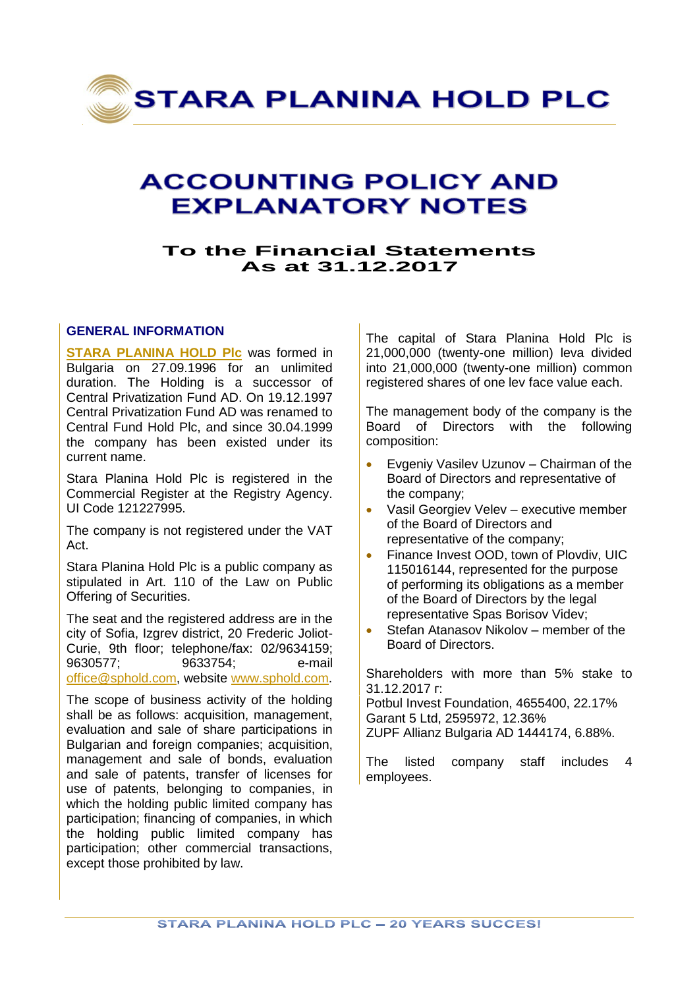

# **ACCOUNTING POLICY AND EXPLANATORY NOTES**

# **To the Financial Statements As at 31.12.2017**

# **GENERAL INFORMATION**

**[STARA PLANINA HOLD Plc](http://sphold.com/en)** was formed in Bulgaria on 27.09.1996 for an unlimited duration. The Holding is a successor of Central Privatization Fund AD. On 19.12.1997 Central Privatization Fund AD was renamed to Central Fund Hold Plc, and since 30.04.1999 the company has been existed under its current name.

Stara Planina Hold Plc is registered in the Commercial Register at the Registry Agency. UI Code 121227995.

The company is not registered under the VAT Act.

Stara Planina Hold Plc is a public company as stipulated in Art. 110 of the Law on Public Offering of Securities.

The seat and the registered address are in the city of Sofia, Izgrev district, 20 Frederic Joliot-Curie, 9th floor; telephone/fax: 02/9634159; 9630577; 9633754; e-mail [office@sphold.com,](mailto:office@sphold.com) website [www.sphold.com.](http://www.sphold.com/)

The scope of business activity of the holding shall be as follows: acquisition, management, evaluation and sale of share participations in Bulgarian and foreign companies; acquisition, management and sale of bonds, evaluation and sale of patents, transfer of licenses for use of patents, belonging to companies, in which the holding public limited company has participation; financing of companies, in which the holding public limited company has participation; other commercial transactions, except those prohibited by law.

The capital of Stara Planina Hold Plc is 21,000,000 (twenty-one million) leva divided into 21,000,000 (twenty-one million) common registered shares of one lev face value each.

The management body of the company is the Board of Directors with the following composition:

- Evgeniy Vasilev Uzunov Chairman of the Board of Directors and representative of the company;
- Vasil Georgiev Velev executive member of the Board of Directors and representative of the company;
- **Finance Invest OOD, town of Plovdiv, UIC** 115016144, represented for the purpose of performing its obligations as a member of the Board of Directors by the legal representative Spas Borisov Videv;
- Stefan Atanasov Nikolov member of the Board of Directors.

Shareholders with more than 5% stake to 31.12.2017 г:

Potbul Invest Foundation, 4655400, 22.17% Garant 5 Ltd, 2595972, 12.36% ZUPF Allianz Bulgaria AD 1444174, 6.88%.

The listed company staff includes 4 employees.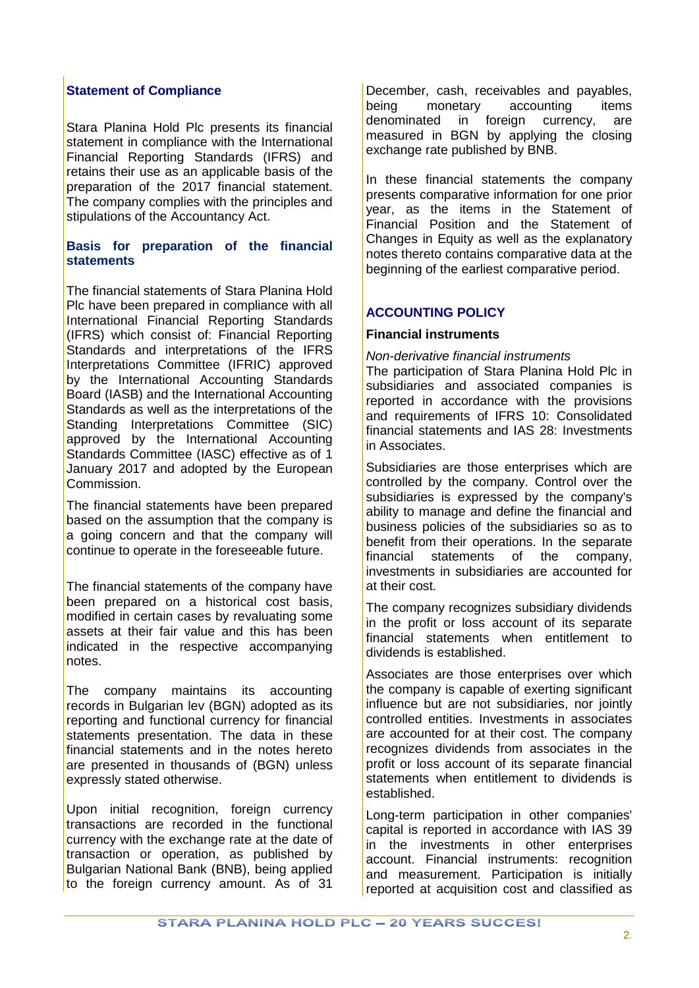# **Statement of Compliance**

Stara Planina Hold Plc presents its financial statement in compliance with the International Financial Reporting Standards (IFRS) and retains their use as an applicable basis of the preparation of the 2017 financial statement. The company complies with the principles and stipulations of the Accountancy Act.

# **Basis for preparation of the financial statements**

The financial statements of Stara Planina Hold Plc have been prepared in compliance with all International Financial Reporting Standards (IFRS) which consist of: Financial Reporting Standards and interpretations of the IFRS Interpretations Committee (IFRIC) approved by the International Accounting Standards Board (IASB) and the International Accounting Standards as well as the interpretations of the Standing Interpretations Committee (SIC) approved by the International Accounting Standards Committee (IASC) effective as of 1 January 2017 and adopted by the European Commission.

The financial statements have been prepared based on the assumption that the company is a going concern and that the company will continue to operate in the foreseeable future.

The financial statements of the company have been prepared on a historical cost basis, modified in certain cases by revaluating some assets at their fair value and this has been indicated in the respective accompanying notes.

The company maintains its accounting records in Bulgarian lev (BGN) adopted as its reporting and functional currency for financial statements presentation. The data in these financial statements and in the notes hereto are presented in thousands of (BGN) unless expressly stated otherwise.

Upon initial recognition, foreign currency transactions are recorded in the functional currency with the exchange rate at the date of transaction or operation, as published by Bulgarian National Bank (BNB), being applied to the foreign currency amount. As of 31

December, cash, receivables and payables, being monetary accounting items denominated in foreign currency, are measured in BGN by applying the closing exchange rate published by BNB.

In these financial statements the company presents comparative information for one prior year, as the items in the Statement of Financial Position and the Statement of Changes in Equity as well as the explanatory notes thereto contains comparative data at the beginning of the earliest comparative period.

# **ACCOUNTING POLICY**

# **Financial instruments**

### *Non-derivative financial instruments*

The participation of Stara Planina Hold Plc in subsidiaries and associated companies is reported in accordance with the provisions and requirements of IFRS 10: Consolidated financial statements and IAS 28: Investments in Associates.

Subsidiaries are those enterprises which are controlled by the company. Control over the subsidiaries is expressed by the company's ability to manage and define the financial and business policies of the subsidiaries so as to benefit from their operations. In the separate financial statements of the company, investments in subsidiaries are accounted for at their cost.

The company recognizes subsidiary dividends in the profit or loss account of its separate financial statements when entitlement to dividends is established.

Associates are those enterprises over which the company is capable of exerting significant influence but are not subsidiaries, nor jointly controlled entities. Investments in associates are accounted for at their cost. The company recognizes dividends from associates in the profit or loss account of its separate financial statements when entitlement to dividends is established.

Long-term participation in other companies' capital is reported in accordance with IAS 39 in the investments in other enterprises account. Financial instruments: recognition and measurement. Participation is initially reported at acquisition cost and classified as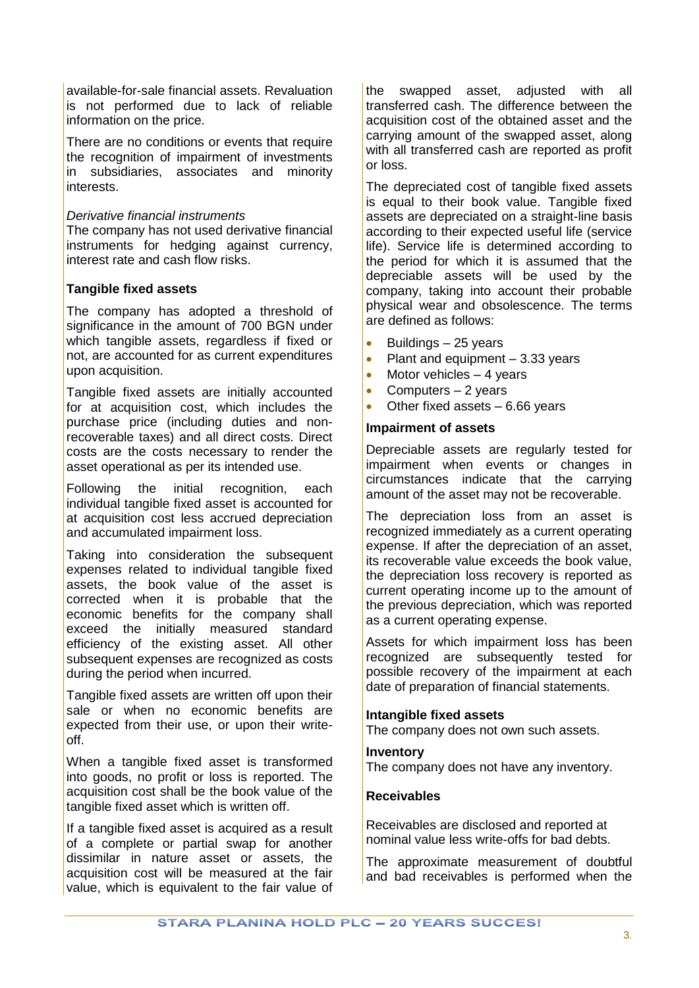available-for-sale financial assets. Revaluation is not performed due to lack of reliable information on the price.

There are no conditions or events that require the recognition of impairment of investments in subsidiaries, associates and minority interests.

# *Derivative financial instruments*

The company has not used derivative financial instruments for hedging against currency, interest rate and cash flow risks.

# **Tangible fixed assets**

The company has adopted a threshold of significance in the amount of 700 BGN under which tangible assets, regardless if fixed or not, are accounted for as current expenditures upon acquisition.

Tangible fixed assets are initially accounted for at acquisition cost, which includes the purchase price (including duties and nonrecoverable taxes) and all direct costs. Direct costs are the costs necessary to render the asset operational as per its intended use.

Following the initial recognition, each individual tangible fixed asset is accounted for at acquisition cost less accrued depreciation and accumulated impairment loss.

Taking into consideration the subsequent expenses related to individual tangible fixed assets, the book value of the asset is corrected when it is probable that the economic benefits for the company shall exceed the initially measured standard efficiency of the existing asset. All other subsequent expenses are recognized as costs during the period when incurred.

Tangible fixed assets are written off upon their sale or when no economic benefits are expected from their use, or upon their writeoff.

When a tangible fixed asset is transformed into goods, no profit or loss is reported. The acquisition cost shall be the book value of the tangible fixed asset which is written off.

If a tangible fixed asset is acquired as a result of a complete or partial swap for another dissimilar in nature asset or assets, the acquisition cost will be measured at the fair value, which is equivalent to the fair value of

the swapped asset, adjusted with all transferred cash. The difference between the acquisition cost of the obtained asset and the carrying amount of the swapped asset, along with all transferred cash are reported as profit or loss.

The depreciated cost of tangible fixed assets is equal to their book value. Tangible fixed assets are depreciated on a straight-line basis according to their expected useful life (service life). Service life is determined according to the period for which it is assumed that the depreciable assets will be used by the company, taking into account their probable physical wear and obsolescence. The terms are defined as follows:

- Buildings 25 years
- Plant and equipment  $-3.33$  years
- $\bullet$  Motor vehicles  $-4$  years
- Computers  $-2$  years
- Other fixed assets 6.66 years

#### **Impairment of assets**

Depreciable assets are regularly tested for impairment when events or changes in circumstances indicate that the carrying amount of the asset may not be recoverable.

The depreciation loss from an asset is recognized immediately as a current operating expense. If after the depreciation of an asset, its recoverable value exceeds the book value, the depreciation loss recovery is reported as current operating income up to the amount of the previous depreciation, which was reported as a current operating expense.

Assets for which impairment loss has been recognized are subsequently tested for possible recovery of the impairment at each date of preparation of financial statements.

# **Intangible fixed assets**

The company does not own such assets.

#### **Inventory**

The company does not have any inventory.

# **Receivables**

Receivables are disclosed and reported at nominal value less write-offs for bad debts.

The approximate measurement of doubtful and bad receivables is performed when the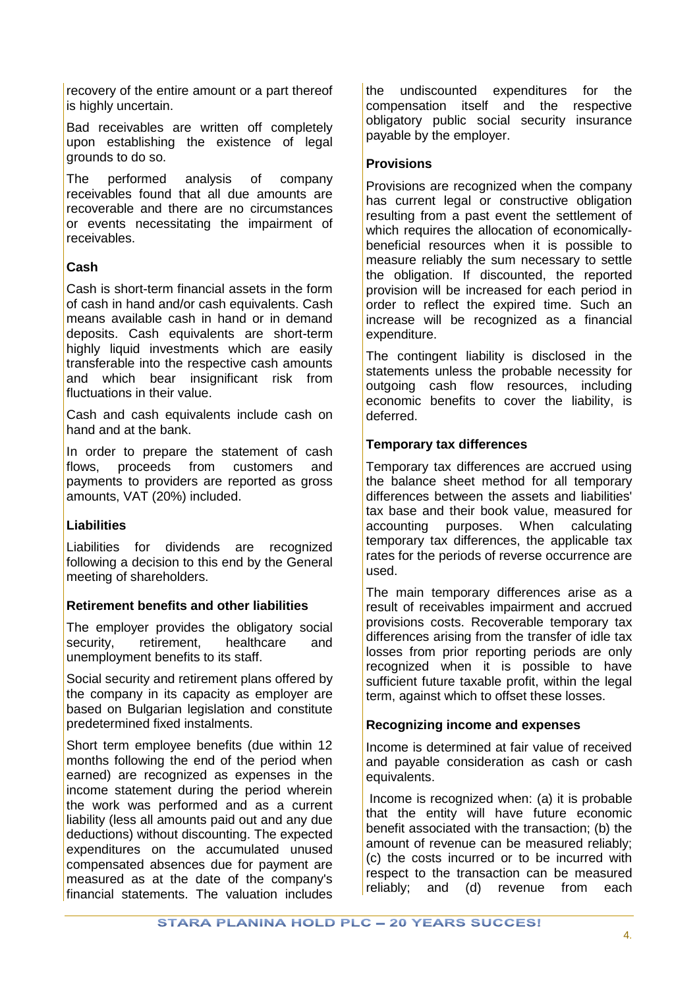recovery of the entire amount or a part thereof is highly uncertain.

Bad receivables are written off completely upon establishing the existence of legal grounds to do so.

The performed analysis of company receivables found that all due amounts are recoverable and there are no circumstances or events necessitating the impairment of receivables.

# **Cash**

Cash is short-term financial assets in the form of cash in hand and/or cash equivalents. Cash means available cash in hand or in demand deposits. Cash equivalents are short-term highly liquid investments which are easily transferable into the respective cash amounts and which bear insignificant risk from fluctuations in their value.

Cash and cash equivalents include cash on hand and at the bank.

In order to prepare the statement of cash flows, proceeds from customers and payments to providers are reported as gross amounts, VAT (20%) included.

# **Liabilities**

Liabilities for dividends are recognized following a decision to this end by the General meeting of shareholders.

# **Retirement benefits and other liabilities**

The employer provides the obligatory social security, retirement, healthcare and unemployment benefits to its staff.

Social security and retirement plans offered by the company in its capacity as employer are based on Bulgarian legislation and constitute predetermined fixed instalments.

Short term employee benefits (due within 12 months following the end of the period when earned) are recognized as expenses in the income statement during the period wherein the work was performed and as a current liability (less all amounts paid out and any due deductions) without discounting. The expected expenditures on the accumulated unused compensated absences due for payment are measured as at the date of the company's financial statements. The valuation includes the undiscounted expenditures for the compensation itself and the respective obligatory public social security insurance payable by the employer.

# **Provisions**

Provisions are recognized when the company has current legal or constructive obligation resulting from a past event the settlement of which requires the allocation of economicallybeneficial resources when it is possible to measure reliably the sum necessary to settle the obligation. If discounted, the reported provision will be increased for each period in order to reflect the expired time. Such an increase will be recognized as a financial expenditure.

The contingent liability is disclosed in the statements unless the probable necessity for outgoing cash flow resources, including economic benefits to cover the liability, is deferred.

# **Temporary tax differences**

Temporary tax differences are accrued using the balance sheet method for all temporary differences between the assets and liabilities' tax base and their book value, measured for accounting purposes. When calculating temporary tax differences, the applicable tax rates for the periods of reverse occurrence are used.

The main temporary differences arise as a result of receivables impairment and accrued provisions costs. Recoverable temporary tax differences arising from the transfer of idle tax losses from prior reporting periods are only recognized when it is possible to have sufficient future taxable profit, within the legal term, against which to offset these losses.

# **Recognizing income and expenses**

Income is determined at fair value of received and payable consideration as cash or cash equivalents.

Income is recognized when: (a) it is probable that the entity will have future economic benefit associated with the transaction; (b) the amount of revenue can be measured reliably; (c) the costs incurred or to be incurred with respect to the transaction can be measured reliably; and (d) revenue from each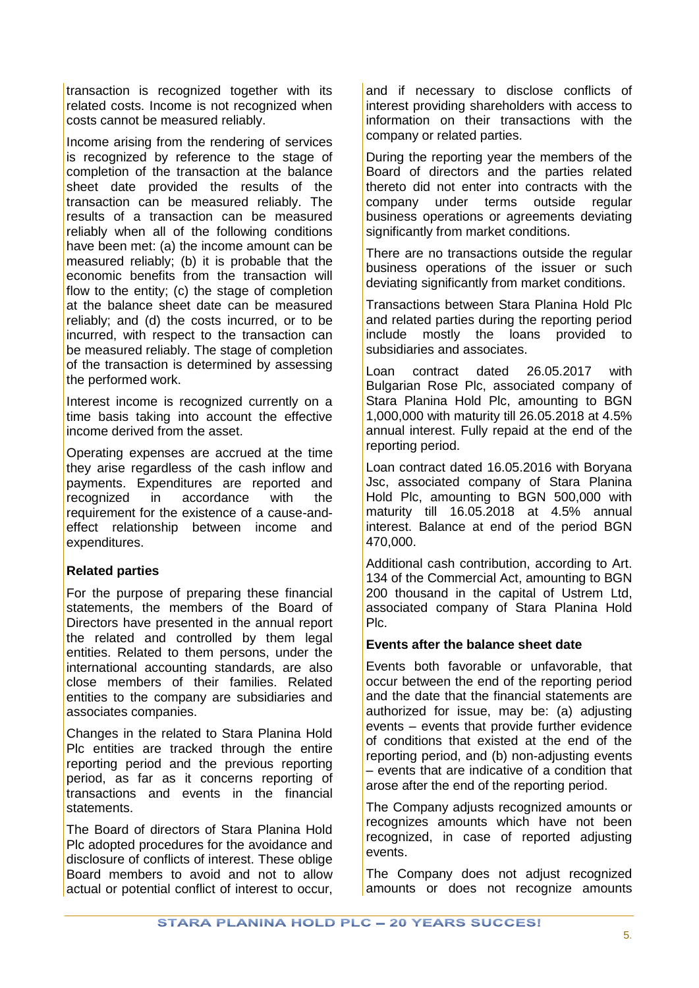transaction is recognized together with its related costs. Income is not recognized when costs cannot be measured reliably.

Income arising from the rendering of services is recognized by reference to the stage of completion of the transaction at the balance sheet date provided the results of the transaction can be measured reliably. The results of a transaction can be measured reliably when all of the following conditions have been met: (a) the income amount can be measured reliably; (b) it is probable that the economic benefits from the transaction will flow to the entity; (c) the stage of completion at the balance sheet date can be measured reliably; and (d) the costs incurred, or to be incurred, with respect to the transaction can be measured reliably. The stage of completion of the transaction is determined by assessing the performed work.

Interest income is recognized currently on a time basis taking into account the effective income derived from the asset.

Operating expenses are accrued at the time they arise regardless of the cash inflow and payments. Expenditures are reported and recognized in accordance with the requirement for the existence of a cause-andeffect relationship between income and expenditures.

# **Related parties**

For the purpose of preparing these financial statements, the members of the Board of Directors have presented in the annual report the related and controlled by them legal entities. Related to them persons, under the international accounting standards, are also close members of their families. Related entities to the company are subsidiaries and associates companies.

Changes in the related to Stara Planina Hold Plc entities are tracked through the entire reporting period and the previous reporting period, as far as it concerns reporting of transactions and events in the financial statements.

The Board of directors of Stara Planina Hold Plc adopted procedures for the avoidance and disclosure of conflicts of interest. These oblige Board members to avoid and not to allow actual or potential conflict of interest to occur, and if necessary to disclose conflicts of interest providing shareholders with access to information on their transactions with the company or related parties.

During the reporting year the members of the Board of directors and the parties related thereto did not enter into contracts with the company under terms outside regular business operations or agreements deviating significantly from market conditions.

There are no transactions outside the regular business operations of the issuer or such deviating significantly from market conditions.

Transactions between Stara Planina Hold Plc and related parties during the reporting period include mostly the loans provided to subsidiaries and associates.

Loan contract dated 26.05.2017 with Bulgarian Rose Plc, associated company of Stara Planina Hold Plc, amounting to BGN 1,000,000 with maturity till 26.05.2018 at 4.5% annual interest. Fully repaid at the end of the reporting period.

Loan contract dated 16.05.2016 with Boryana Jsc, associated company of Stara Planina Hold Plc, amounting to BGN 500,000 with maturity till 16.05.2018 at 4.5% annual interest. Balance at end of the period BGN 470,000.

Additional cash contribution, according to Art. 134 of the Commercial Act, amounting to BGN 200 thousand in the capital of Ustrem Ltd, associated company of Stara Planina Hold Plc.

# **Events after the balance sheet date**

Events both favorable or unfavorable, that occur between the end of the reporting period and the date that the financial statements are authorized for issue, may be: (a) adjusting events – events that provide further evidence of conditions that existed at the end of the reporting period, and (b) non-adjusting events – events that are indicative of a condition that arose after the end of the reporting period.

The Company adjusts recognized amounts or recognizes amounts which have not been recognized, in case of reported adjusting events.

The Company does not adjust recognized amounts or does not recognize amounts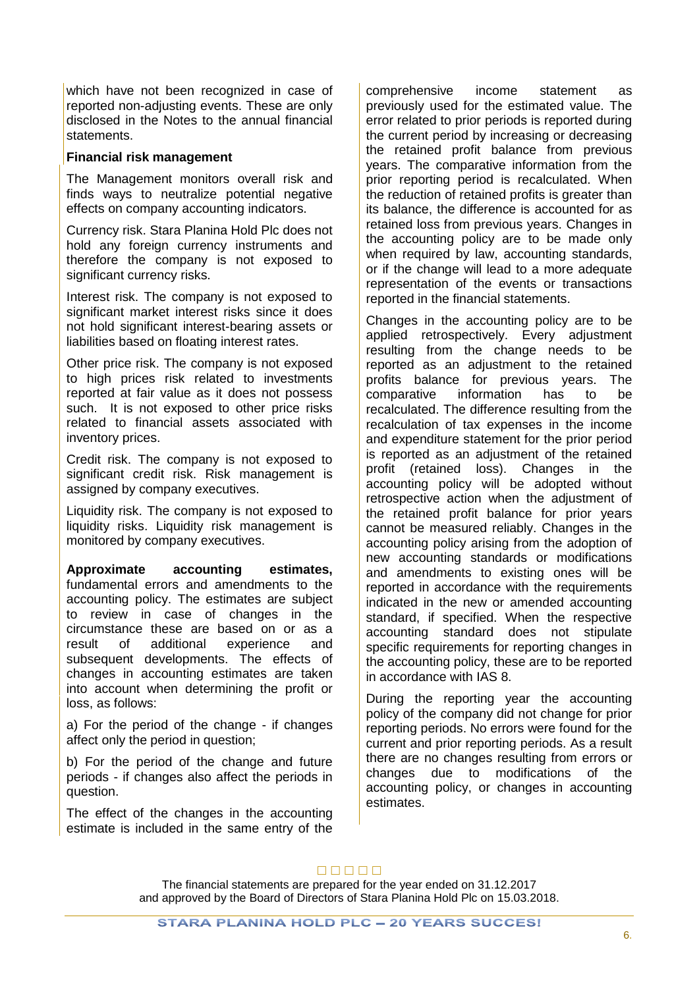which have not been recognized in case of reported non-adjusting events. These are only disclosed in the Notes to the annual financial statements.

#### **Financial risk management**

The Management monitors overall risk and finds ways to neutralize potential negative effects on company accounting indicators.

Currency risk. Stara Planina Hold Plc does not hold any foreign currency instruments and therefore the company is not exposed to significant currency risks.

Interest risk. The company is not exposed to significant market interest risks since it does not hold significant interest-bearing assets or liabilities based on floating interest rates.

Other price risk. The company is not exposed to high prices risk related to investments reported at fair value as it does not possess such. It is not exposed to other price risks related to financial assets associated with inventory prices.

Credit risk. The company is not exposed to significant credit risk. Risk management is assigned by company executives.

Liquidity risk. The company is not exposed to liquidity risks. Liquidity risk management is monitored by company executives.

**Approximate accounting estimates,**  fundamental errors and amendments to the accounting policy. The estimates are subject to review in case of changes in the circumstance these are based on or as a result of additional experience and subsequent developments. The effects of changes in accounting estimates are taken into account when determining the profit or loss, as follows:

a) For the period of the change - if changes affect only the period in question;

b) For the period of the change and future periods - if changes also affect the periods in question.

The effect of the changes in the accounting estimate is included in the same entry of the comprehensive income statement as previously used for the estimated value. The error related to prior periods is reported during the current period by increasing or decreasing the retained profit balance from previous years. The comparative information from the prior reporting period is recalculated. When the reduction of retained profits is greater than its balance, the difference is accounted for as retained loss from previous years. Changes in the accounting policy are to be made only when required by law, accounting standards, or if the change will lead to a more adequate representation of the events or transactions reported in the financial statements.

Changes in the accounting policy are to be applied retrospectively. Every adjustment resulting from the change needs to be reported as an adjustment to the retained profits balance for previous years. The comparative information has to be recalculated. The difference resulting from the recalculation of tax expenses in the income and expenditure statement for the prior period is reported as an adjustment of the retained profit (retained loss). Changes in the accounting policy will be adopted without retrospective action when the adjustment of the retained profit balance for prior years cannot be measured reliably. Changes in the accounting policy arising from the adoption of new accounting standards or modifications and amendments to existing ones will be reported in accordance with the requirements indicated in the new or amended accounting standard, if specified. When the respective accounting standard does not stipulate specific requirements for reporting changes in the accounting policy, these are to be reported in accordance with IAS 8.

During the reporting year the accounting policy of the company did not change for prior reporting periods. No errors were found for the current and prior reporting periods. As a result there are no changes resulting from errors or changes due to modifications of the accounting policy, or changes in accounting estimates.

# $\Box \Box \Box \Box \Box$

The financial statements are prepared for the year ended on 31.12.2017 and approved by the Board of Directors of Stara Planina Hold Plc on 15.03.2018.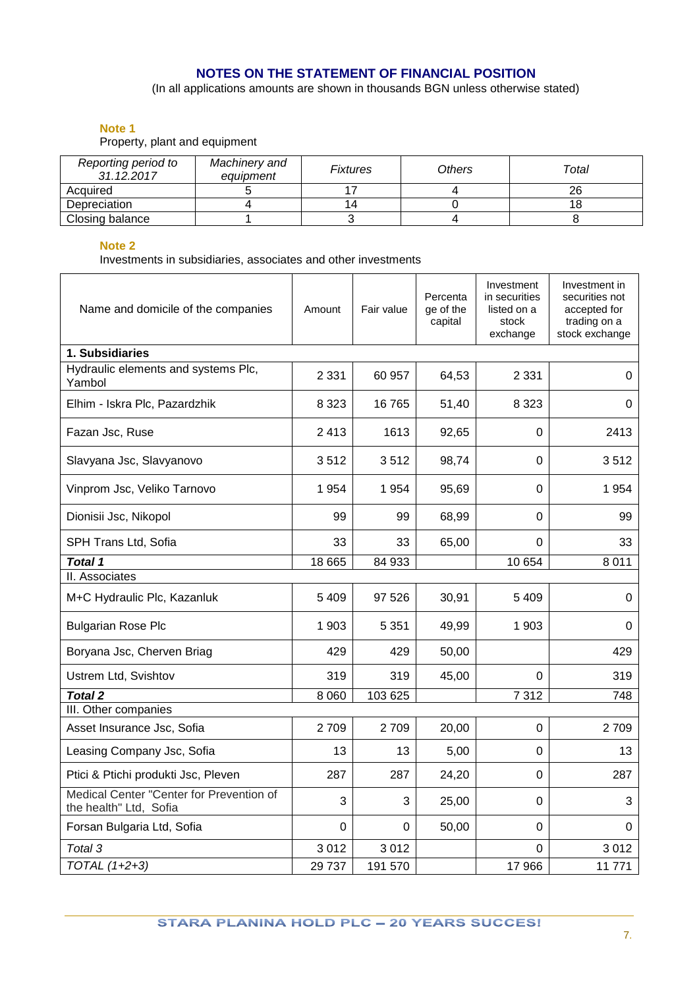# **NOTES ON THE STATEMENT OF FINANCIAL POSITION**

(In all applications amounts are shown in thousands BGN unless otherwise stated)

# **Note 1**

Property, plant and equipment

| Reporting period to<br>31.12.2017 | Machinery and<br>equipment | Fixtures | Others | Total |
|-----------------------------------|----------------------------|----------|--------|-------|
| Acquired                          |                            |          |        | 26    |
| Depreciation                      |                            | 14       |        |       |
| Closing balance                   |                            |          |        |       |

#### **Note 2**

Investments in subsidiaries, associates and other investments

| Name and domicile of the companies                                 | Amount  | Fair value | Percenta<br>ge of the<br>capital | Investment<br>in securities<br>listed on a<br>stock<br>exchange | Investment in<br>securities not<br>accepted for<br>trading on a<br>stock exchange |
|--------------------------------------------------------------------|---------|------------|----------------------------------|-----------------------------------------------------------------|-----------------------------------------------------------------------------------|
| 1. Subsidiaries                                                    |         |            |                                  |                                                                 |                                                                                   |
| Hydraulic elements and systems Plc,<br>Yambol                      | 2 3 3 1 | 60 957     | 64,53                            | 2 3 3 1                                                         | 0                                                                                 |
| Elhim - Iskra Plc, Pazardzhik                                      | 8 3 2 3 | 16765      | 51,40                            | 8 3 2 3                                                         | 0                                                                                 |
| Fazan Jsc, Ruse                                                    | 2413    | 1613       | 92,65                            | 0                                                               | 2413                                                                              |
| Slavyana Jsc, Slavyanovo                                           | 3512    | 3512       | 98,74                            | $\mathbf 0$                                                     | 3512                                                                              |
| Vinprom Jsc, Veliko Tarnovo                                        | 1954    | 1954       | 95,69                            | 0                                                               | 1954                                                                              |
| Dionisii Jsc, Nikopol                                              | 99      | 99         | 68,99                            | $\Omega$                                                        | 99                                                                                |
| SPH Trans Ltd, Sofia                                               | 33      | 33         | 65,00                            | 0                                                               | 33                                                                                |
| <b>Total 1</b>                                                     | 18 6 65 | 84 933     |                                  | 10 654                                                          | 8 0 1 1                                                                           |
| II. Associates                                                     |         |            |                                  |                                                                 |                                                                                   |
| M+C Hydraulic Plc, Kazanluk                                        | 5409    | 97 526     | 30,91                            | 5409                                                            | 0                                                                                 |
| <b>Bulgarian Rose Plc</b>                                          | 1 903   | 5 3 5 1    | 49,99                            | 1 903                                                           | 0                                                                                 |
| Boryana Jsc, Cherven Briag                                         | 429     | 429        | 50,00                            |                                                                 | 429                                                                               |
| Ustrem Ltd, Svishtov                                               | 319     | 319        | 45,00                            | 0                                                               | 319                                                                               |
| <b>Total 2</b>                                                     | 8 0 6 0 | 103 625    |                                  | 7312                                                            | 748                                                                               |
| III. Other companies                                               |         |            |                                  |                                                                 |                                                                                   |
| Asset Insurance Jsc, Sofia                                         | 2709    | 2709       | 20,00                            | $\Omega$                                                        | 2709                                                                              |
| Leasing Company Jsc, Sofia                                         | 13      | 13         | 5,00                             | $\Omega$                                                        | 13                                                                                |
| Ptici & Ptichi produkti Jsc, Pleven                                | 287     | 287        | 24,20                            | 0                                                               | 287                                                                               |
| Medical Center "Center for Prevention of<br>the health" Ltd, Sofia | 3       | 3          | 25,00                            | $\Omega$                                                        | 3                                                                                 |
| Forsan Bulgaria Ltd, Sofia                                         | 0       | 0          | 50,00                            | $\Omega$                                                        | 0                                                                                 |
| Total 3                                                            | 3012    | 3012       |                                  | 0                                                               | 3012                                                                              |
| TOTAL (1+2+3)                                                      | 29 737  | 191 570    |                                  | 17966                                                           | 11771                                                                             |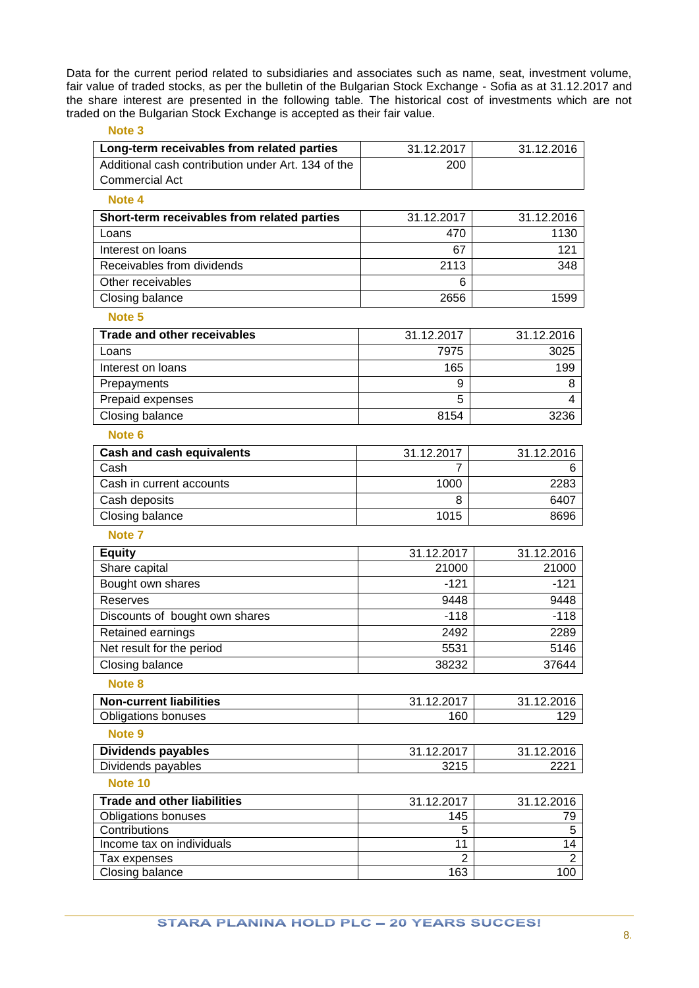Data for the current period related to subsidiaries and associates such as name, seat, investment volume, fair value of traded stocks, as per the bulletin of the Bulgarian Stock Exchange - Sofia as at 31.12.2017 and the share interest are presented in the following table. The historical cost of investments which are not traded on the Bulgarian Stock Exchange is accepted as their fair value.

| Note <sub>3</sub>                                  |                      |                      |
|----------------------------------------------------|----------------------|----------------------|
| Long-term receivables from related parties         | 31.12.2017           | 31.12.2016           |
| Additional cash contribution under Art. 134 of the | 200                  |                      |
| <b>Commercial Act</b>                              |                      |                      |
| Note 4                                             |                      |                      |
| Short-term receivables from related parties        | 31.12.2017           | 31.12.2016           |
| Loans                                              | 470                  | 1130                 |
| Interest on loans                                  | 67                   | 121                  |
| Receivables from dividends                         | 2113                 | 348                  |
| Other receivables                                  | 6                    |                      |
| Closing balance                                    | 2656                 | 1599                 |
| Note 5                                             |                      |                      |
| <b>Trade and other receivables</b>                 | 31.12.2017           | 31.12.2016           |
| Loans                                              | 7975                 | 3025                 |
| Interest on loans                                  | 165                  | 199                  |
| Prepayments                                        | 9                    | 8                    |
| Prepaid expenses                                   | 5                    | 4                    |
| Closing balance                                    | 8154                 | 3236                 |
| Note <sub>6</sub>                                  |                      |                      |
| <b>Cash and cash equivalents</b>                   | 31.12.2017           | 31.12.2016           |
| Cash                                               |                      | 6                    |
| Cash in current accounts                           | 1000                 | 2283                 |
| Cash deposits                                      | 8                    | 6407                 |
| Closing balance                                    | 1015                 | 8696                 |
| Note <sub>7</sub>                                  |                      |                      |
| <b>Equity</b>                                      | 31.12.2017           | 31.12.2016           |
| Share capital                                      | 21000                | 21000                |
| Bought own shares                                  | $-121$               | $-121$               |
| Reserves                                           | 9448                 | 9448                 |
| Discounts of bought own shares                     | $-118$               | $-118$               |
| Retained earnings                                  | 2492                 | 2289                 |
| Net result for the period                          | 5531                 | 5146                 |
| Closing balance                                    | 38232                | 37644                |
| Note <sub>8</sub>                                  |                      |                      |
| <b>Non-current liabilities</b>                     | 31.12.2017           | 31.12.2016           |
| <b>Obligations bonuses</b>                         | 160                  | 129                  |
| Note 9                                             |                      |                      |
| <b>Dividends payables</b>                          | 31.12.2017           | 31.12.2016           |
| Dividends payables                                 | 3215                 | 2221                 |
| Note 10                                            |                      |                      |
| <b>Trade and other liabilities</b>                 | 31.12.2017           | 31.12.2016           |
| <b>Obligations bonuses</b>                         | 145                  | 79                   |
| Contributions                                      | 5                    | $\sqrt{5}$           |
| Income tax on individuals<br>Tax expenses          | 11<br>$\overline{2}$ | 14<br>$\overline{2}$ |
|                                                    |                      |                      |

Closing balance 163 100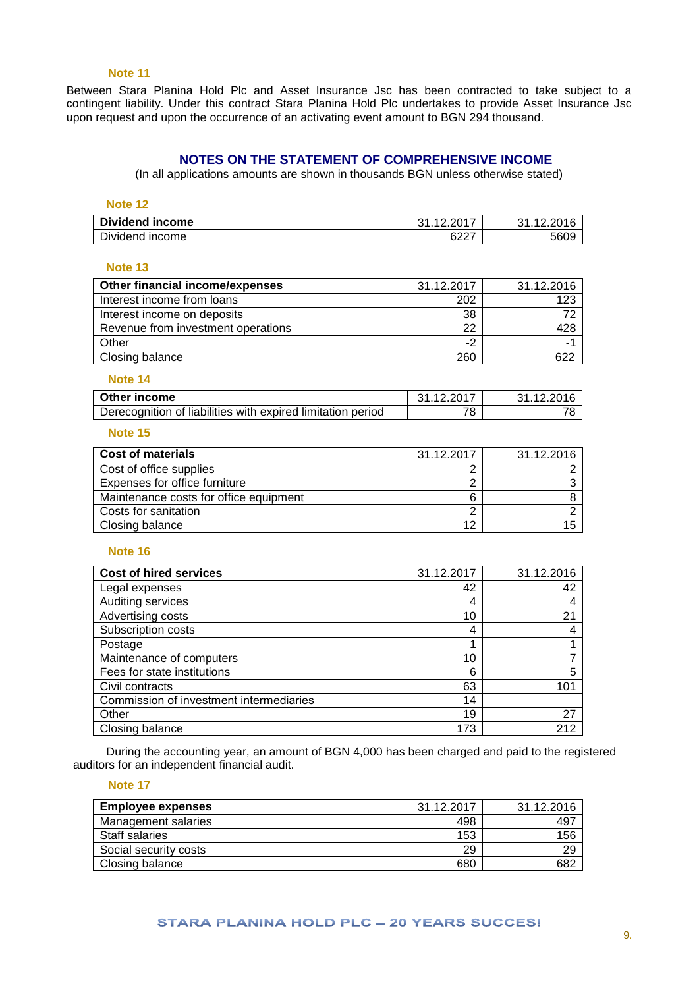#### **Note 11**

Between Stara Planina Hold Plc and Asset Insurance Jsc has been contracted to take subject to a contingent liability. Under this contract Stara Planina Hold Plc undertakes to provide Asset Insurance Jsc upon request and upon the occurrence of an activating event amount to BGN 294 thousand.

# **NOTES ON THE STATEMENT OF COMPREHENSIVE INCOME**

(In all applications amounts are shown in thousands BGN unless otherwise stated)

#### **Note 12**

| Dividend income | .400017<br>ົາ                      | 31.12.2016 |
|-----------------|------------------------------------|------------|
| Dividend income | <b>0007</b><br><b>D</b> <i>L</i> . | 5609       |

#### **Note 13**

| Other financial income/expenses    | 31.12.2017 | 31.12.2016 |
|------------------------------------|------------|------------|
| Interest income from loans         | 202        | 123        |
| Interest income on deposits        | 38         |            |
| Revenue from investment operations | 22         | 428        |
| Other                              | -2         |            |
| Closing balance                    | 260        | 622        |
|                                    |            |            |

#### **Note 14**

| Other income                                                | 31.12.2017 | 31.12.2016 |
|-------------------------------------------------------------|------------|------------|
| Derecognition of liabilities with expired limitation period | 78         |            |

#### **Note 15**

| <b>Cost of materials</b>               | 31.12.2017 | 31.12.2016 |
|----------------------------------------|------------|------------|
| Cost of office supplies                |            |            |
| Expenses for office furniture          |            |            |
| Maintenance costs for office equipment | 6          |            |
| Costs for sanitation                   |            |            |
| Closing balance                        | 12         |            |

# **Note 16**

| <b>Cost of hired services</b>           | 31.12.2017 | 31.12.2016 |
|-----------------------------------------|------------|------------|
| Legal expenses                          | 42         | 42         |
| Auditing services                       | 4          |            |
| Advertising costs                       | 10         | 21         |
| Subscription costs                      | 4          |            |
| Postage                                 |            |            |
| Maintenance of computers                | 10         |            |
| Fees for state institutions             | 6          | 5          |
| Civil contracts                         | 63         | 101        |
| Commission of investment intermediaries | 14         |            |
| Other                                   | 19         | 27         |
| Closing balance                         | 173        | 212        |

During the accounting year, an amount of BGN 4,000 has been charged and paid to the registered auditors for an independent financial audit.

#### **Note 17**

| <b>Employee expenses</b> | 31.12.2017 | 31.12.2016 |
|--------------------------|------------|------------|
| Management salaries      | 498        | 497        |
| Staff salaries           | 153        | 156        |
| Social security costs    | 29         | 29         |
| Closing balance          | 680        | 682        |